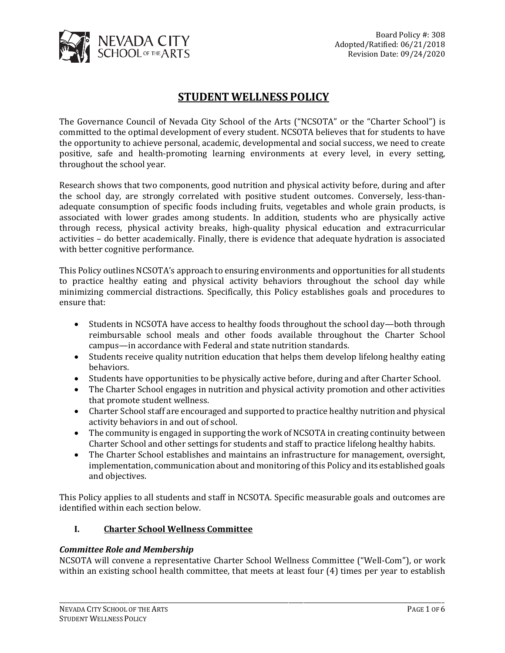

# **STUDENT WELLNESS POLICY**

The Governance Council of Nevada City School of the Arts ("NCSOTA" or the "Charter School") is committed to the optimal development of every student. NCSOTA believes that for students to have the opportunity to achieve personal, academic, developmental and social success, we need to create positive, safe and health-promoting learning environments at every level, in every setting, throughout the school year.

Research shows that two components, good nutrition and physical activity before, during and after the school day, are strongly correlated with positive student outcomes. Conversely, less-thanadequate consumption of specific foods including fruits, vegetables and whole grain products, is associated with lower grades among students. In addition, students who are physically active through recess, physical activity breaks, high-quality physical education and extracurricular activities – do better academically. Finally, there is evidence that adequate hydration is associated with better cognitive performance.

This Policy outlines NCSOTA's approach to ensuring environments and opportunities for all students to practice healthy eating and physical activity behaviors throughout the school day while minimizing commercial distractions. Specifically, this Policy establishes goals and procedures to ensure that:

- Students in NCSOTA have access to healthy foods throughout the school day—both through reimbursable school meals and other foods available throughout the Charter School campus—in accordance with Federal and state nutrition standards.
- Students receive quality nutrition education that helps them develop lifelong healthy eating behaviors.
- Students have opportunities to be physically active before, during and after Charter School.
- The Charter School engages in nutrition and physical activity promotion and other activities that promote student wellness.
- Charter School staff are encouraged and supported to practice healthy nutrition and physical activity behaviors in and out of school.
- The community is engaged in supporting the work of NCSOTA in creating continuity between Charter School and other settings for students and staff to practice lifelong healthy habits.
- The Charter School establishes and maintains an infrastructure for management, oversight, implementation, communication about and monitoring of this Policy and its established goals and objectives.

This Policy applies to all students and staff in NCSOTA. Specific measurable goals and outcomes are identified within each section below.

# **I. Charter School Wellness Committee**

# *Committee Role and Membership*

NCSOTA will convene a representative Charter School Wellness Committee ("Well-Com"), or work within an existing school health committee, that meets at least four (4) times per year to establish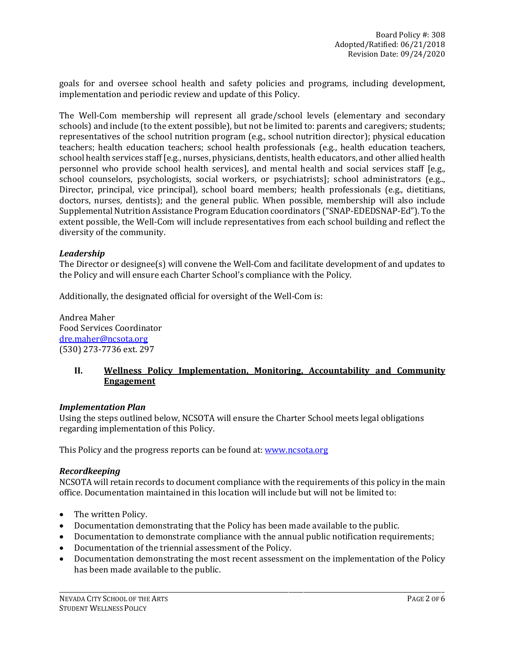goals for and oversee school health and safety policies and programs, including development, implementation and periodic review and update of this Policy.

The Well-Com membership will represent all grade/school levels (elementary and secondary schools) and include (to the extent possible), but not be limited to: parents and caregivers; students; representatives of the school nutrition program (e.g., school nutrition director); physical education teachers; health education teachers; school health professionals (e.g., health education teachers, school health services staff [e.g., nurses, physicians, dentists, health educators, and other allied health personnel who provide school health services], and mental health and social services staff [e.g., school counselors, psychologists, social workers, or psychiatrists]; school administrators (e.g.., Director, principal, vice principal), school board members; health professionals (e.g., dietitians, doctors, nurses, dentists); and the general public. When possible, membership will also include Supplemental Nutrition Assistance Program Education coordinators ("SNAP-EDEDSNAP-Ed"). To the extent possible, the Well-Com will include representatives from each school building and reflect the diversity of the community.

#### *Leadership*

The Director or designee(s) will convene the Well-Com and facilitate development of and updates to the Policy and will ensure each Charter School's compliance with the Policy.

Additionally, the designated official for oversight of the Well-Com is:

Andrea Maher Food Services Coordinator [dre.maher@ncsota.org](mailto:dre.maher@ncsota.org) (530) 273-7736 ext. 297

# **II. Wellness Policy Implementation, Monitoring, Accountability and Community Engagement**

#### *Implementation Plan*

Using the steps outlined below, NCSOTA will ensure the Charter School meets legal obligations regarding implementation of this Policy.

This Policy and the progress reports can be found at: [www.ncsota.org](http://www.ncsota.org/)

#### *Recordkeeping*

NCSOTA will retain records to document compliance with the requirements of this policy in the main office. Documentation maintained in this location will include but will not be limited to:

- The written Policy.
- Documentation demonstrating that the Policy has been made available to the public.
- Documentation to demonstrate compliance with the annual public notification requirements;
- Documentation of the triennial assessment of the Policy.
- Documentation demonstrating the most recent assessment on the implementation of the Policy has been made available to the public.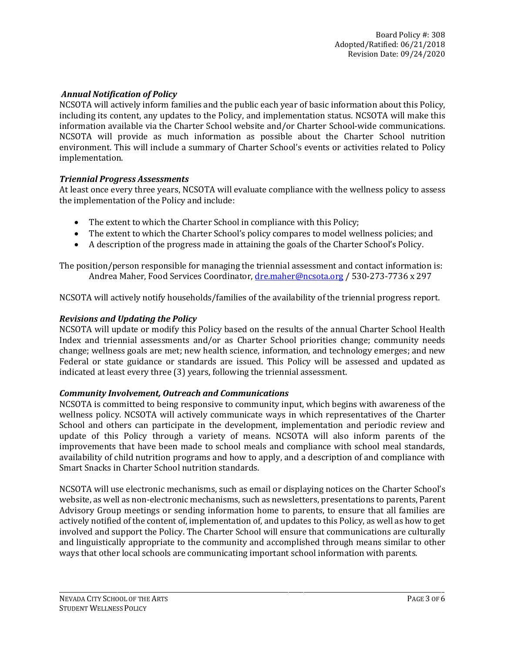# *Annual Notification of Policy*

NCSOTA will actively inform families and the public each year of basic information about this Policy, including its content, any updates to the Policy, and implementation status. NCSOTA will make this information available via the Charter School website and/or Charter School-wide communications. NCSOTA will provide as much information as possible about the Charter School nutrition environment. This will include a summary of Charter School's events or activities related to Policy implementation.

# *Triennial Progress Assessments*

At least once every three years, NCSOTA will evaluate compliance with the wellness policy to assess the implementation of the Policy and include:

- The extent to which the Charter School in compliance with this Policy;
- The extent to which the Charter School's policy compares to model wellness policies; and
- A description of the progress made in attaining the goals of the Charter School's Policy.

The position/person responsible for managing the triennial assessment and contact information is: Andrea Maher, Food Services Coordinator, [dre.maher@ncsota.org](mailto:dre.maher@ncsota.org) / 530-273-7736 x 297

NCSOTA will actively notify households/families of the availability of the triennial progress report.

#### *Revisions and Updating the Policy*

NCSOTA will update or modify this Policy based on the results of the annual Charter School Health Index and triennial assessments and/or as Charter School priorities change; community needs change; wellness goals are met; new health science, information, and technology emerges; and new Federal or state guidance or standards are issued. This Policy will be assessed and updated as indicated at least every three (3) years, following the triennial assessment.

# *Community Involvement, Outreach and Communications*

NCSOTA is committed to being responsive to community input, which begins with awareness of the wellness policy. NCSOTA will actively communicate ways in which representatives of the Charter School and others can participate in the development, implementation and periodic review and update of this Policy through a variety of means. NCSOTA will also inform parents of the improvements that have been made to school meals and compliance with school meal standards, availability of child nutrition programs and how to apply, and a description of and compliance with Smart Snacks in Charter School nutrition standards.

NCSOTA will use electronic mechanisms, such as email or displaying notices on the Charter School's website, as well as non-electronic mechanisms, such as newsletters, presentations to parents, Parent Advisory Group meetings or sending information home to parents, to ensure that all families are actively notified of the content of, implementation of, and updates to this Policy, as well as how to get involved and support the Policy. The Charter School will ensure that communications are culturally and linguistically appropriate to the community and accomplished through means similar to other ways that other local schools are communicating important school information with parents.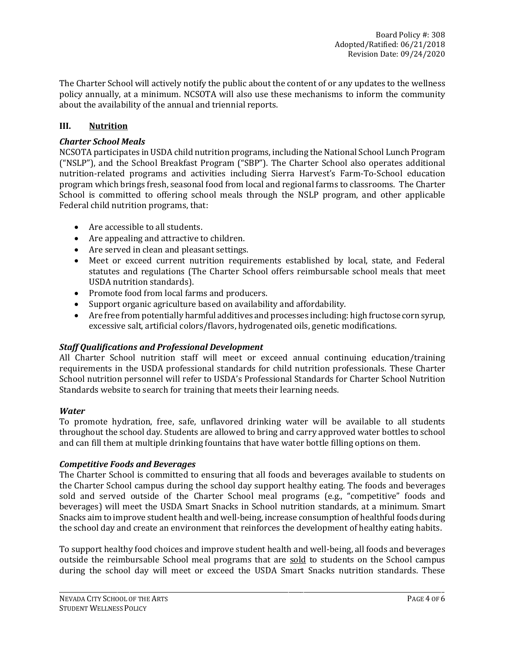The Charter School will actively notify the public about the content of or any updates to the wellness policy annually, at a minimum. NCSOTA will also use these mechanisms to inform the community about the availability of the annual and triennial reports.

# **III. Nutrition**

#### *Charter School Meals*

NCSOTA participates in USDA child nutrition programs, including the National School Lunch Program ("NSLP"), and the School Breakfast Program ("SBP"). The Charter School also operates additional nutrition-related programs and activities including Sierra Harvest's Farm-To-School education program which brings fresh, seasonal food from local and regional farms to classrooms. The Charter School is committed to offering school meals through the NSLP program, and other applicable Federal child nutrition programs, that:

- Are accessible to all students.
- Are appealing and attractive to children.
- Are served in clean and pleasant settings.
- Meet or exceed current nutrition requirements established by local, state, and Federal statutes and regulations (The Charter School offers reimbursable school meals that meet USDA nutrition standards).
- Promote food from local farms and producers.
- Support organic agriculture based on availability and affordability.
- Are free from potentially harmful additives and processes including: high fructose corn syrup, excessive salt, artificial colors/flavors, hydrogenated oils, genetic modifications.

# *Staff Qualifications and Professional Development*

All Charter School nutrition staff will meet or exceed annual continuing education/training requirements in the USDA professional standards for child nutrition professionals. These Charter School nutrition personnel will refer to USDA's Professional Standards for Charter School Nutrition Standards website to search for training that meets their learning needs.

#### *Water*

To promote hydration, free, safe, unflavored drinking water will be available to all students throughout the school day. Students are allowed to bring and carry approved water bottles to school and can fill them at multiple drinking fountains that have water bottle filling options on them.

# *Competitive Foods and Beverages*

The Charter School is committed to ensuring that all foods and beverages available to students on the Charter School campus during the school day support healthy eating. The foods and beverages sold and served outside of the Charter School meal programs (e.g., "competitive" foods and beverages) will meet the USDA Smart Snacks in School nutrition standards, at a minimum. Smart Snacks aim to improve student health and well-being, increase consumption of healthful foods during the school day and create an environment that reinforces the development of healthy eating habits.

To support healthy food choices and improve student health and well-being, all foods and beverages outside the reimbursable School meal programs that are sold to students on the School campus during the school day will meet or exceed the USDA Smart Snacks nutrition standards. These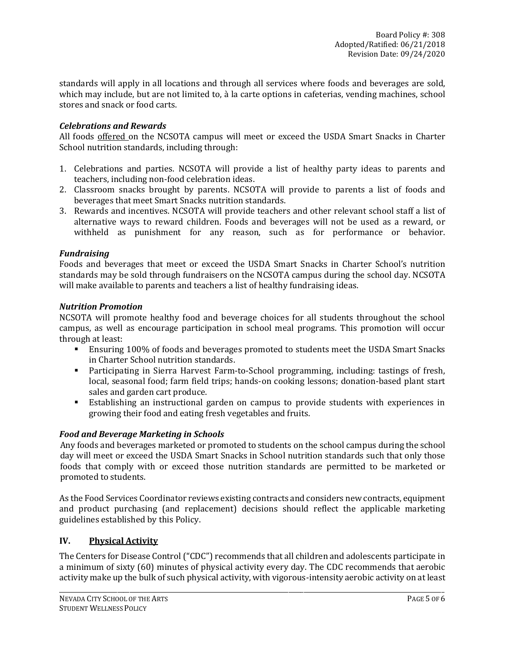standards will apply in all locations and through all services where foods and beverages are sold, which may include, but are not limited to, à la carte options in cafeterias, vending machines, school stores and snack or food carts.

#### *Celebrations and Rewards*

All foods offered on the NCSOTA campus will meet or exceed the USDA Smart Snacks in Charter School nutrition standards, including through:

- 1. Celebrations and parties. NCSOTA will provide a list of healthy party ideas to parents and teachers, including non-food celebration ideas.
- 2. Classroom snacks brought by parents. NCSOTA will provide to parents a list of foods and beverages that meet Smart Snacks nutrition standards.
- 3. Rewards and incentives. NCSOTA will provide teachers and other relevant school staff a list of alternative ways to reward children. Foods and beverages will not be used as a reward, or withheld as punishment for any reason, such as for performance or behavior.

#### *Fundraising*

Foods and beverages that meet or exceed the USDA Smart Snacks in Charter School's nutrition standards may be sold through fundraisers on the NCSOTA campus during the school day. NCSOTA will make available to parents and teachers a list of healthy fundraising ideas.

#### *Nutrition Promotion*

NCSOTA will promote healthy food and beverage choices for all students throughout the school campus, as well as encourage participation in school meal programs. This promotion will occur through at least:

- **Ensuring 100% of foods and beverages promoted to students meet the USDA Smart Snacks** in Charter School nutrition standards.
- Participating in Sierra Harvest Farm-to-School programming, including: tastings of fresh, local, seasonal food; farm field trips; hands-on cooking lessons; donation-based plant start sales and garden cart produce.
- Establishing an instructional garden on campus to provide students with experiences in growing their food and eating fresh vegetables and fruits.

# *Food and Beverage Marketing in Schools*

Any foods and beverages marketed or promoted to students on the school campus during the school day will meet or exceed the USDA Smart Snacks in School nutrition standards such that only those foods that comply with or exceed those nutrition standards are permitted to be marketed or promoted to students.

As the Food Services Coordinator reviews existing contracts and considers new contracts, equipment and product purchasing (and replacement) decisions should reflect the applicable marketing guidelines established by this Policy.

# **IV. Physical Activity**

The Centers for Disease Control ("CDC") recommends that all children and adolescents participate in a minimum of sixty (60) minutes of physical activity every day. The CDC recommends that aerobic activity make up the bulk of such physical activity, with vigorous-intensity aerobic activity on at least